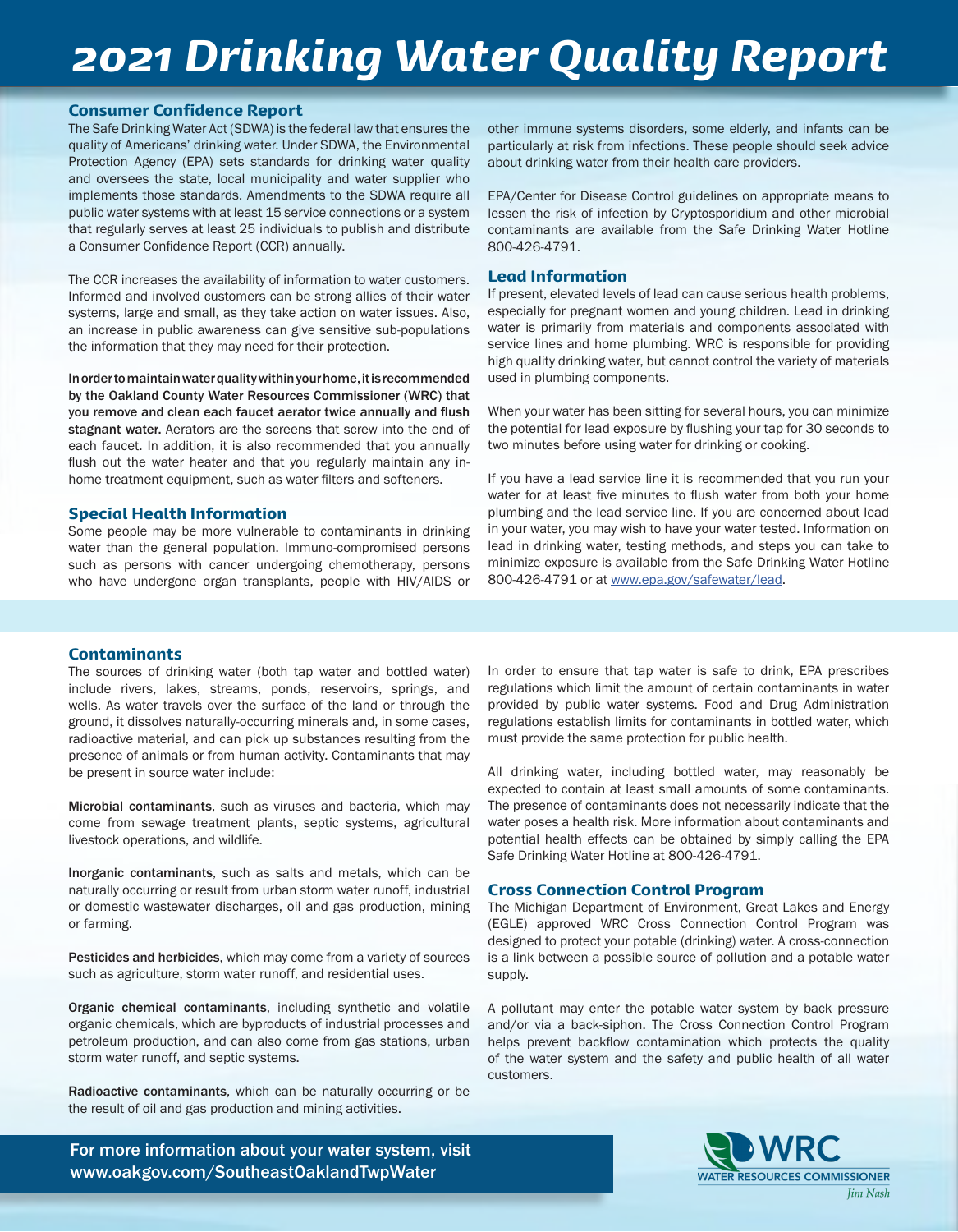## *2021 Drinking Water Quality Report*

#### Consumer Confidence Report

The Safe Drinking Water Act (SDWA) is the federal law that ensures the quality of Americans' drinking water. Under SDWA, the Environmental Protection Agency (EPA) sets standards for drinking water quality and oversees the state, local municipality and water supplier who implements those standards. Amendments to the SDWA require all public water systems with at least 15 service connections or a system that regularly serves at least 25 individuals to publish and distribute a Consumer Confidence Report (CCR) annually.

The CCR increases the availability of information to water customers. Informed and involved customers can be strong allies of their water systems, large and small, as they take action on water issues. Also, an increase in public awareness can give sensitive sub-populations the information that they may need for their protection.

In order to maintain water quality within your home, it is recommended by the Oakland County Water Resources Commissioner (WRC) that you remove and clean each faucet aerator twice annually and flush stagnant water. Aerators are the screens that screw into the end of each faucet. In addition, it is also recommended that you annually flush out the water heater and that you regularly maintain any inhome treatment equipment, such as water filters and softeners.

#### Special Health Information

Some people may be more vulnerable to contaminants in drinking water than the general population. Immuno-compromised persons such as persons with cancer undergoing chemotherapy, persons who have undergone organ transplants, people with HIV/AIDS or

other immune systems disorders, some elderly, and infants can be particularly at risk from infections. These people should seek advice about drinking water from their health care providers.

EPA/Center for Disease Control guidelines on appropriate means to lessen the risk of infection by Cryptosporidium and other microbial contaminants are available from the Safe Drinking Water Hotline 800-426-4791.

#### Lead Information

If present, elevated levels of lead can cause serious health problems, especially for pregnant women and young children. Lead in drinking water is primarily from materials and components associated with service lines and home plumbing. WRC is responsible for providing high quality drinking water, but cannot control the variety of materials used in plumbing components.

When your water has been sitting for several hours, you can minimize the potential for lead exposure by flushing your tap for 30 seconds to two minutes before using water for drinking or cooking.

If you have a lead service line it is recommended that you run your water for at least five minutes to flush water from both your home plumbing and the lead service line. If you are concerned about lead in your water, you may wish to have your water tested. Information on lead in drinking water, testing methods, and steps you can take to minimize exposure is available from the Safe Drinking Water Hotline 800-426-4791 or at www.epa.gov/safewater/lead.

#### Contaminants

The sources of drinking water (both tap water and bottled water) include rivers, lakes, streams, ponds, reservoirs, springs, and wells. As water travels over the surface of the land or through the ground, it dissolves naturally-occurring minerals and, in some cases, radioactive material, and can pick up substances resulting from the presence of animals or from human activity. Contaminants that may be present in source water include:

Microbial contaminants, such as viruses and bacteria, which may come from sewage treatment plants, septic systems, agricultural livestock operations, and wildlife.

Inorganic contaminants, such as salts and metals, which can be naturally occurring or result from urban storm water runoff, industrial or domestic wastewater discharges, oil and gas production, mining or farming.

Pesticides and herbicides, which may come from a variety of sources such as agriculture, storm water runoff, and residential uses.

Organic chemical contaminants, including synthetic and volatile organic chemicals, which are byproducts of industrial processes and petroleum production, and can also come from gas stations, urban storm water runoff, and septic systems.

Radioactive contaminants, which can be naturally occurring or be the result of oil and gas production and mining activities.

For more information about your water system, visit www.oakgov.com/SoutheastOaklandTwpWater

In order to ensure that tap water is safe to drink, EPA prescribes regulations which limit the amount of certain contaminants in water provided by public water systems. Food and Drug Administration regulations establish limits for contaminants in bottled water, which must provide the same protection for public health.

All drinking water, including bottled water, may reasonably be expected to contain at least small amounts of some contaminants. The presence of contaminants does not necessarily indicate that the water poses a health risk. More information about contaminants and potential health effects can be obtained by simply calling the EPA Safe Drinking Water Hotline at 800-426-4791.

#### Cross Connection Control Program

The Michigan Department of Environment, Great Lakes and Energy (EGLE) approved WRC Cross Connection Control Program was designed to protect your potable (drinking) water. A cross-connection is a link between a possible source of pollution and a potable water supply.

A pollutant may enter the potable water system by back pressure and/or via a back-siphon. The Cross Connection Control Program helps prevent backflow contamination which protects the quality of the water system and the safety and public health of all water customers.

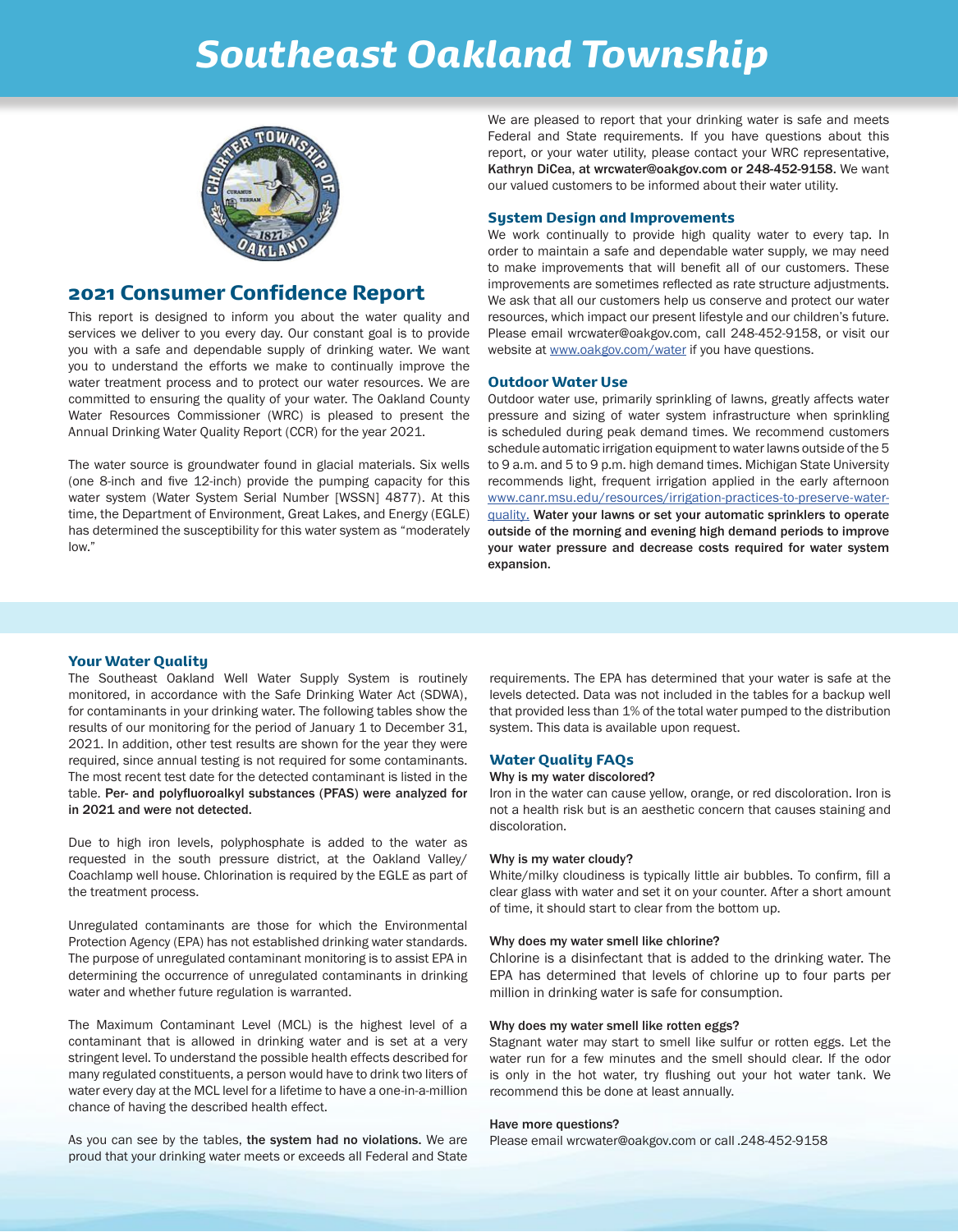## *Southeast Oakland Township*



#### 2021 Consumer Confidence Report

This report is designed to inform you about the water quality and services we deliver to you every day. Our constant goal is to provide you with a safe and dependable supply of drinking water. We want you to understand the efforts we make to continually improve the water treatment process and to protect our water resources. We are committed to ensuring the quality of your water. The Oakland County Water Resources Commissioner (WRC) is pleased to present the Annual Drinking Water Quality Report (CCR) for the year 2021.

The water source is groundwater found in glacial materials. Six wells (one 8-inch and five 12-inch) provide the pumping capacity for this water system (Water System Serial Number [WSSN] 4877). At this time, the Department of Environment, Great Lakes, and Energy (EGLE) has determined the susceptibility for this water system as "moderately low."

We are pleased to report that your drinking water is safe and meets Federal and State requirements. If you have questions about this report, or your water utility, please contact your WRC representative, Kathryn DiCea, at wrcwater@oakgov.com or 248-452-9158. We want our valued customers to be informed about their water utility.

#### System Design and Improvements

We work continually to provide high quality water to every tap. In order to maintain a safe and dependable water supply, we may need to make improvements that will benefit all of our customers. These improvements are sometimes reflected as rate structure adjustments. We ask that all our customers help us conserve and protect our water resources, which impact our present lifestyle and our children's future. Please email wrcwater@oakgov.com, call 248-452-9158, or visit our website at www.oakgov.com/water if you have questions.

#### Outdoor Water Use

Outdoor water use, primarily sprinkling of lawns, greatly affects water pressure and sizing of water system infrastructure when sprinkling is scheduled during peak demand times. We recommend customers schedule automatic irrigation equipment to water lawns outside of the 5 to 9 a.m. and 5 to 9 p.m. high demand times. Michigan State University recommends light, frequent irrigation applied in the early afternoon www.canr.msu.edu/resources/irrigation-practices-to-preserve-waterquality. Water your lawns or set your automatic sprinklers to operate outside of the morning and evening high demand periods to improve your water pressure and decrease costs required for water system expansion.

#### Your Water Quality

The Southeast Oakland Well Water Supply System is routinely monitored, in accordance with the Safe Drinking Water Act (SDWA), for contaminants in your drinking water. The following tables show the results of our monitoring for the period of January 1 to December 31, 2021. In addition, other test results are shown for the year they were required, since annual testing is not required for some contaminants. The most recent test date for the detected contaminant is listed in the table. Per- and polyfluoroalkyl substances (PFAS) were analyzed for in 2021 and were not detected.

Due to high iron levels, polyphosphate is added to the water as requested in the south pressure district, at the Oakland Valley/ Coachlamp well house. Chlorination is required by the EGLE as part of the treatment process.

Unregulated contaminants are those for which the Environmental Protection Agency (EPA) has not established drinking water standards. The purpose of unregulated contaminant monitoring is to assist EPA in determining the occurrence of unregulated contaminants in drinking water and whether future regulation is warranted.

The Maximum Contaminant Level (MCL) is the highest level of a contaminant that is allowed in drinking water and is set at a very stringent level. To understand the possible health effects described for many regulated constituents, a person would have to drink two liters of water every day at the MCL level for a lifetime to have a one-in-a-million chance of having the described health effect.

As you can see by the tables, the system had no violations. We are proud that your drinking water meets or exceeds all Federal and State requirements. The EPA has determined that your water is safe at the levels detected. Data was not included in the tables for a backup well that provided less than 1% of the total water pumped to the distribution system. This data is available upon request.

#### Water Quality FAQs

#### Why is my water discolored?

Iron in the water can cause yellow, orange, or red discoloration. Iron is not a health risk but is an aesthetic concern that causes staining and discoloration.

#### Why is my water cloudy?

White/milky cloudiness is typically little air bubbles. To confirm, fill a clear glass with water and set it on your counter. After a short amount of time, it should start to clear from the bottom up.

#### Why does my water smell like chlorine?

Chlorine is a disinfectant that is added to the drinking water. The EPA has determined that levels of chlorine up to four parts per million in drinking water is safe for consumption.

#### Why does my water smell like rotten eggs?

Stagnant water may start to smell like sulfur or rotten eggs. Let the water run for a few minutes and the smell should clear. If the odor is only in the hot water, try flushing out your hot water tank. We recommend this be done at least annually.

#### Have more questions?

Please email wrcwater@oakgov.com or call .248-452-9158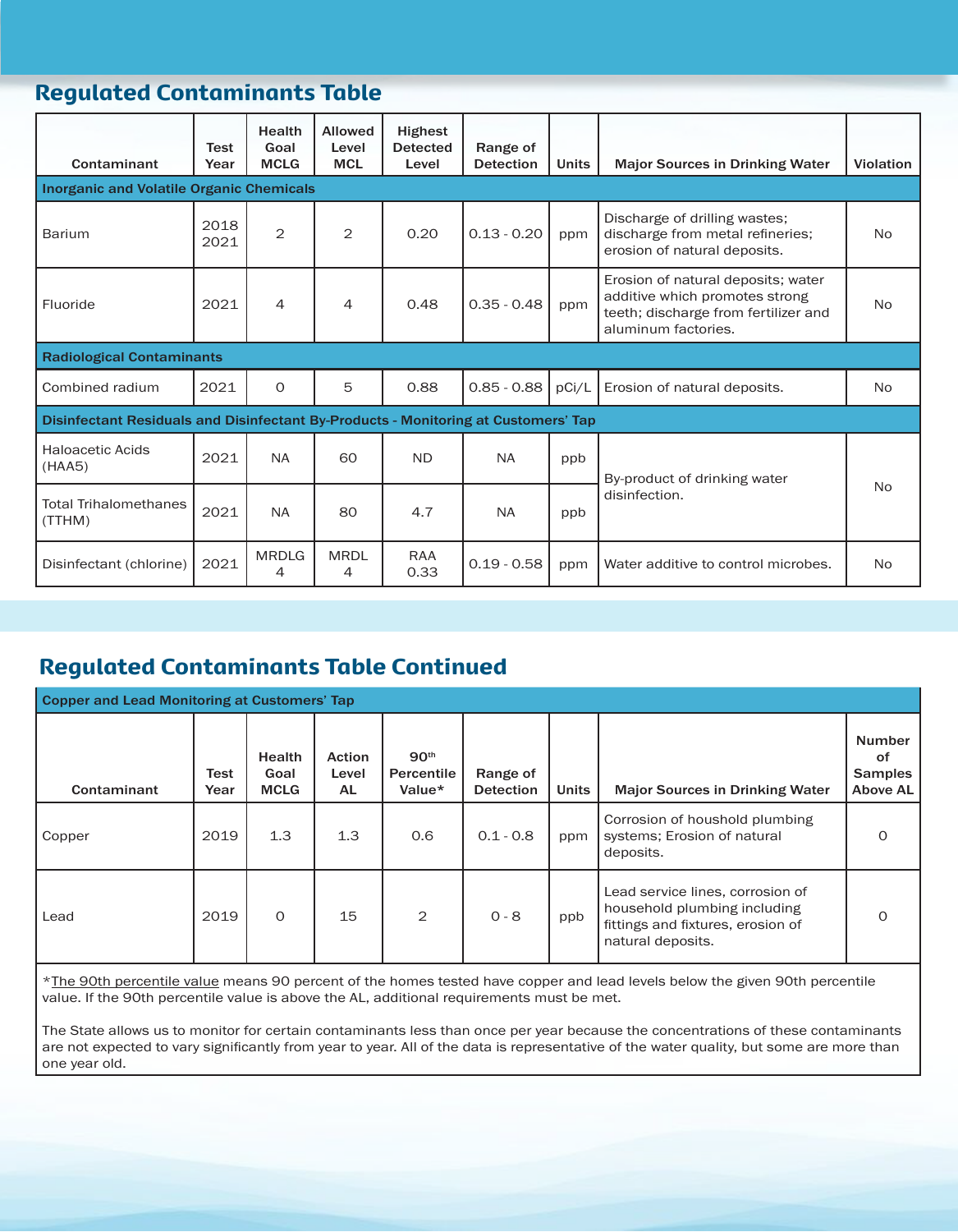## Regulated Contaminants Table

| Contaminant                                                                        | <b>Test</b><br>Year | Health<br>Goal<br><b>MCLG</b> | <b>Allowed</b><br>Level<br><b>MCL</b> | <b>Highest</b><br><b>Detected</b><br>Level | Range of<br><b>Detection</b> | <b>Units</b> | <b>Major Sources in Drinking Water</b>                                                                                              | <b>Violation</b> |  |  |
|------------------------------------------------------------------------------------|---------------------|-------------------------------|---------------------------------------|--------------------------------------------|------------------------------|--------------|-------------------------------------------------------------------------------------------------------------------------------------|------------------|--|--|
| <b>Inorganic and Volatile Organic Chemicals</b>                                    |                     |                               |                                       |                                            |                              |              |                                                                                                                                     |                  |  |  |
| Barium                                                                             | 2018<br>2021        | $\overline{2}$                | 2                                     | 0.20                                       | $0.13 - 0.20$                | ppm          | Discharge of drilling wastes;<br>discharge from metal refineries;<br>erosion of natural deposits.                                   | <b>No</b>        |  |  |
| Fluoride                                                                           | 2021                | $\overline{4}$                | 4                                     | 0.48                                       | $0.35 - 0.48$                | ppm          | Erosion of natural deposits; water<br>additive which promotes strong<br>teeth; discharge from fertilizer and<br>aluminum factories. | <b>No</b>        |  |  |
| <b>Radiological Contaminants</b>                                                   |                     |                               |                                       |                                            |                              |              |                                                                                                                                     |                  |  |  |
| Combined radium                                                                    | 2021                | $\Omega$                      | 5                                     | 0.88                                       | $0.85 - 0.88$                | pCi/L        | Erosion of natural deposits.                                                                                                        | <b>No</b>        |  |  |
| Disinfectant Residuals and Disinfectant By-Products - Monitoring at Customers' Tap |                     |                               |                                       |                                            |                              |              |                                                                                                                                     |                  |  |  |
| <b>Haloacetic Acids</b><br>(HAA5)                                                  | 2021                | <b>NA</b>                     | 60                                    | <b>ND</b>                                  | <b>NA</b>                    | ppb          | By-product of drinking water                                                                                                        | <b>No</b>        |  |  |
| <b>Total Trihalomethanes</b><br>(TTHM)                                             | 2021                | <b>NA</b>                     | 80                                    | 4.7                                        | <b>NA</b>                    | ppb          | disinfection.                                                                                                                       |                  |  |  |
| Disinfectant (chlorine)                                                            | 2021                | <b>MRDLG</b><br>4             | <b>MRDL</b><br>4                      | RAA<br>0.33                                | $0.19 - 0.58$                | ppm          | Water additive to control microbes.                                                                                                 | <b>No</b>        |  |  |

## Regulated Contaminants Table Continued

| <b>Copper and Lead Monitoring at Customers' Tap</b> |              |                                      |                              |                                                 |                              |              |                                                                                                                            |                                                          |
|-----------------------------------------------------|--------------|--------------------------------------|------------------------------|-------------------------------------------------|------------------------------|--------------|----------------------------------------------------------------------------------------------------------------------------|----------------------------------------------------------|
| Contaminant                                         | Test<br>Year | <b>Health</b><br>Goal<br><b>MCLG</b> | <b>Action</b><br>Level<br>AL | 90 <sup>th</sup><br><b>Percentile</b><br>Value* | Range of<br><b>Detection</b> | <b>Units</b> | <b>Major Sources in Drinking Water</b>                                                                                     | <b>Number</b><br>οf<br><b>Samples</b><br><b>Above AL</b> |
| Copper                                              | 2019         | 1.3                                  | 1.3                          | 0.6                                             | $0.1 - 0.8$                  | ppm          | Corrosion of houshold plumbing<br>systems; Erosion of natural<br>deposits.                                                 | $\Omega$                                                 |
| Lead                                                | 2019         | $\mathbf 0$                          | 15                           | 2                                               | $0 - 8$                      | ppb          | Lead service lines, corrosion of<br>household plumbing including<br>fittings and fixtures, erosion of<br>natural deposits. | $\Omega$                                                 |

\*The 90th percentile value means 90 percent of the homes tested have copper and lead levels below the given 90th percentile value. If the 90th percentile value is above the AL, additional requirements must be met.

The State allows us to monitor for certain contaminants less than once per year because the concentrations of these contaminants are not expected to vary significantly from year to year. All of the data is representative of the water quality, but some are more than one year old.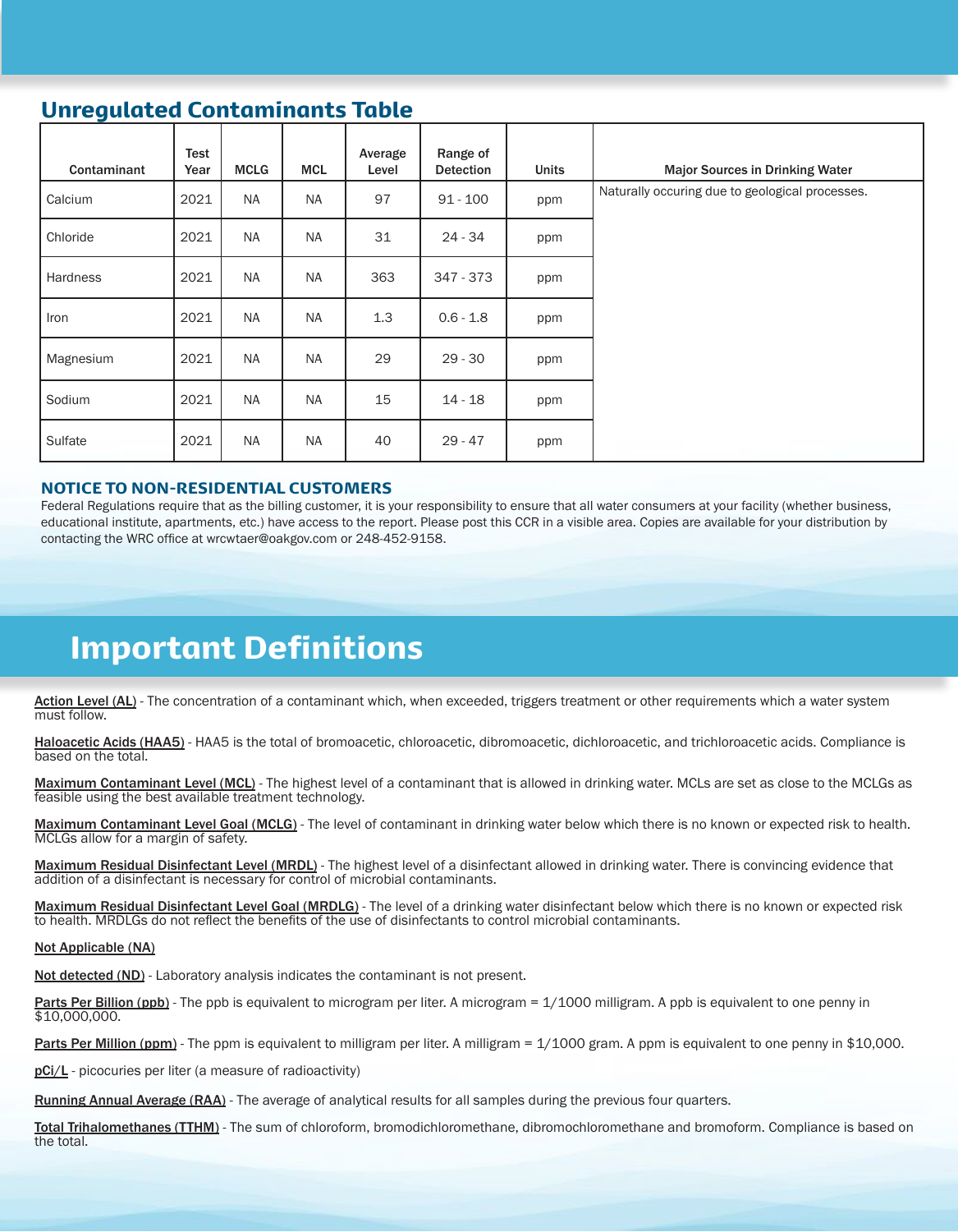## Unregulated Contaminants Table

| Contaminant | Test<br>Year | <b>MCLG</b> | <b>MCL</b> | Average<br>Level | Range of<br><b>Detection</b> | <b>Units</b> | <b>Major Sources in Drinking Water</b>          |
|-------------|--------------|-------------|------------|------------------|------------------------------|--------------|-------------------------------------------------|
| Calcium     | 2021         | <b>NA</b>   | <b>NA</b>  | 97               | $91 - 100$                   | ppm          | Naturally occuring due to geological processes. |
| Chloride    | 2021         | <b>NA</b>   | <b>NA</b>  | 31               | 24 - 34                      | ppm          |                                                 |
| Hardness    | 2021         | NA          | <b>NA</b>  | 363              | 347 - 373                    | ppm          |                                                 |
| Iron        | 2021         | <b>NA</b>   | <b>NA</b>  | 1.3              | $0.6 - 1.8$                  | ppm          |                                                 |
| Magnesium   | 2021         | <b>NA</b>   | <b>NA</b>  | 29               | $29 - 30$                    | ppm          |                                                 |
| Sodium      | 2021         | <b>NA</b>   | <b>NA</b>  | 15               | $14 - 18$                    | ppm          |                                                 |
| Sulfate     | 2021         | NA          | <b>NA</b>  | 40               | $29 - 47$                    | ppm          |                                                 |

#### NOTICE TO NON-RESIDENTIAL CUSTOMERS

Federal Regulations require that as the billing customer, it is your responsibility to ensure that all water consumers at your facility (whether business, educational institute, apartments, etc.) have access to the report. Please post this CCR in a visible area. Copies are available for your distribution by contacting the WRC office at wrcwtaer@oakgov.com or 248-452-9158.

## Important Definitions

Action Level (AL) - The concentration of a contaminant which, when exceeded, triggers treatment or other requirements which a water system must follow.

Haloacetic Acids (HAA5) - HAA5 is the total of bromoacetic, chloroacetic, dibromoacetic, dichloroacetic, and trichloroacetic acids. Compliance is based on the total.

Maximum Contaminant Level (MCL) - The highest level of a contaminant that is allowed in drinking water. MCLs are set as close to the MCLGs as feasible using the best available treatment technology.

Maximum Contaminant Level Goal (MCLG) - The level of contaminant in drinking water below which there is no known or expected risk to health. MCLGs allow for a margin of safety.

Maximum Residual Disinfectant Level (MRDL) - The highest level of a disinfectant allowed in drinking water. There is convincing evidence that addition of a disinfectant is necessary for control of microbial contaminants.

Maximum Residual Disinfectant Level Goal (MRDLG) - The level of a drinking water disinfectant below which there is no known or expected risk to health. MRDLGs do not reflect the benefits of the use of disinfectants to control microbial contaminants.

#### Not Applicable (NA)

Not detected (ND) - Laboratory analysis indicates the contaminant is not present.

**Parts Per Billion (ppb)** - The ppb is equivalent to microgram per liter. A microgram = 1/1000 milligram. A ppb is equivalent to one penny in \$10,000,000.

Parts Per Million (ppm) - The ppm is equivalent to milligram per liter. A milligram = 1/1000 gram. A ppm is equivalent to one penny in \$10,000.

pCi/L - picocuries per liter (a measure of radioactivity)

Running Annual Average (RAA) - The average of analytical results for all samples during the previous four quarters.

Total Trihalomethanes (TTHM) - The sum of chloroform, bromodichloromethane, dibromochloromethane and bromoform. Compliance is based on the total.